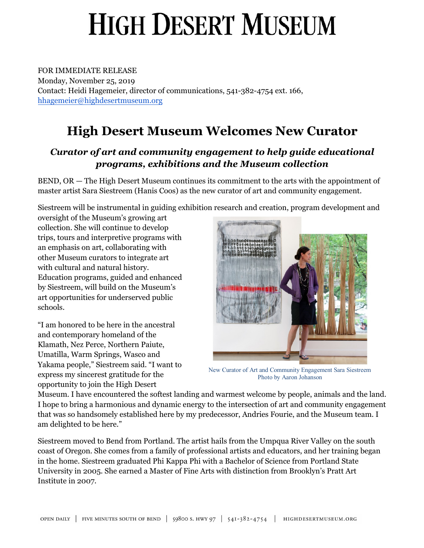# **HIGH DESERT MUSEUM**

FOR IMMEDIATE RELEASE Monday, November 25, 2019 Contact: Heidi Hagemeier, director of communications, 541-382-4754 ext. 166, hhagemeier@highdesertmuseum.org

#### **High Desert Museum Welcomes New Curator**

#### *Curator of art and community engagement to help guide educational programs, exhibitions and the Museum collection*

BEND, OR — The High Desert Museum continues its commitment to the arts with the appointment of master artist Sara Siestreem (Hanis Coos) as the new curator of art and community engagement.

Siestreem will be instrumental in guiding exhibition research and creation, program development and

oversight of the Museum's growing art collection. She will continue to develop trips, tours and interpretive programs with an emphasis on art, collaborating with other Museum curators to integrate art with cultural and natural history. Education programs, guided and enhanced by Siestreem, will build on the Museum's art opportunities for underserved public schools.

"I am honored to be here in the ancestral and contemporary homeland of the Klamath, Nez Perce, Northern Paiute, Umatilla, Warm Springs, Wasco and Yakama people," Siestreem said. "I want to express my sincerest gratitude for the opportunity to join the High Desert



New Curator of Art and Community Engagement Sara Siestreem Photo by Aaron Johanson

Museum. I have encountered the softest landing and warmest welcome by people, animals and the land. I hope to bring a harmonious and dynamic energy to the intersection of art and community engagement that was so handsomely established here by my predecessor, Andries Fourie, and the Museum team. I am delighted to be here."

Siestreem moved to Bend from Portland. The artist hails from the Umpqua River Valley on the south coast of Oregon. She comes from a family of professional artists and educators, and her training began in the home. Siestreem graduated Phi Kappa Phi with a Bachelor of Science from Portland State University in 2005. She earned a Master of Fine Arts with distinction from Brooklyn's Pratt Art Institute in 2007.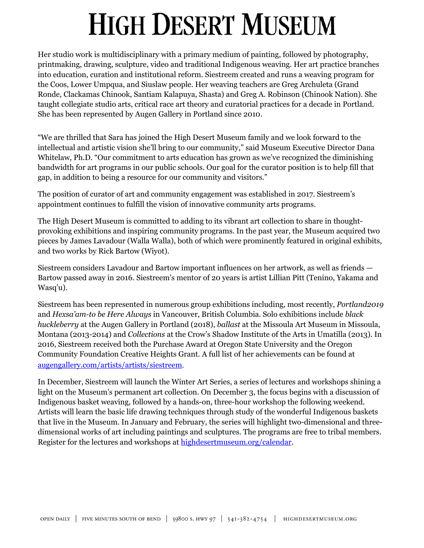### **HIGH DESERT MUSEUM**

Her studio work is multidisciplinary with a primary medium of painting, followed by photography, printmaking, drawing, sculpture, video and traditional Indigenous weaving. Her art practice branches into education, curation and institutional reform. Siestreem created and runs a weaving program for the Coos, Lower Umpqua, and Siuslaw people. Her weaving teachers are Greg Archuleta (Grand Ronde, Clackamas Chinook, Santiam Kalapuya, Shasta) and Greg A. Robinson (Chinook Nation). She taught collegiate studio arts, critical race art theory and curatorial practices for a decade in Portland. She has been represented by Augen Gallery in Portland since 2010.

"We are thrilled that Sara has joined the High Desert Museum family and we look forward to the intellectual and artistic vision she'll bring to our community," said Museum Executive Director Dana Whitelaw, Ph.D. "Our commitment to arts education has grown as we've recognized the diminishing bandwidth for art programs in our public schools. Our goal for the curator position is to help fill that gap, in addition to being a resource for our community and visitors."

The position of curator of art and community engagement was established in 2017. Siestreem's appointment continues to fulfill the vision of innovative community arts programs.

The High Desert Museum is committed to adding to its vibrant art collection to share in thoughtprovoking exhibitions and inspiring community programs. In the past year, the Museum acquired two pieces by James Lavadour (Walla Walla), both of which were prominently featured in original exhibits, and two works by Rick Bartow (Wiyot).

Siestreem considers Lavadour and Bartow important influences on her artwork, as well as friends — Bartow passed away in 2016. Siestreem's mentor of 20 years is artist Lillian Pitt (Tenino, Yakama and Wasq'u).

Siestreem has been represented in numerous group exhibitions including, most recently, *Portland2019* and *Hexsa'am-to be Here Always* in Vancouver, British Columbia. Solo exhibitions include *black huckleberry* at the Augen Gallery in Portland (2018), *ballast* at the Missoula Art Museum in Missoula, Montana (2013-2014) and *Collections* at the Crow's Shadow Institute of the Arts in Umatilla (2013). In 2016, Siestreem received both the Purchase Award at Oregon State University and the Oregon Community Foundation Creative Heights Grant. A full list of her achievements can be found at [augengallery.com/artists/artists/siestreem](https://www.augengallery.com/artists/artists/siestreem/).

In December, Siestreem will launch the Winter Art Series, a series of lectures and workshops shining a light on the Museum's permanent art collection. On December 3, the focus begins with a discussion of Indigenous basket weaving, followed by a hands-on, three-hour workshop the following weekend. Artists will learn the basic life drawing techniques through study of the wonderful Indigenous baskets that live in the Museum. In January and February, the series will highlight two-dimensional and threedimensional works of art including paintings and sculptures. The programs are free to tribal members. Register for the lectures and workshops at [highdesertmuseum.org/calendar.](https://highdesertmuseum.org/calendar/)